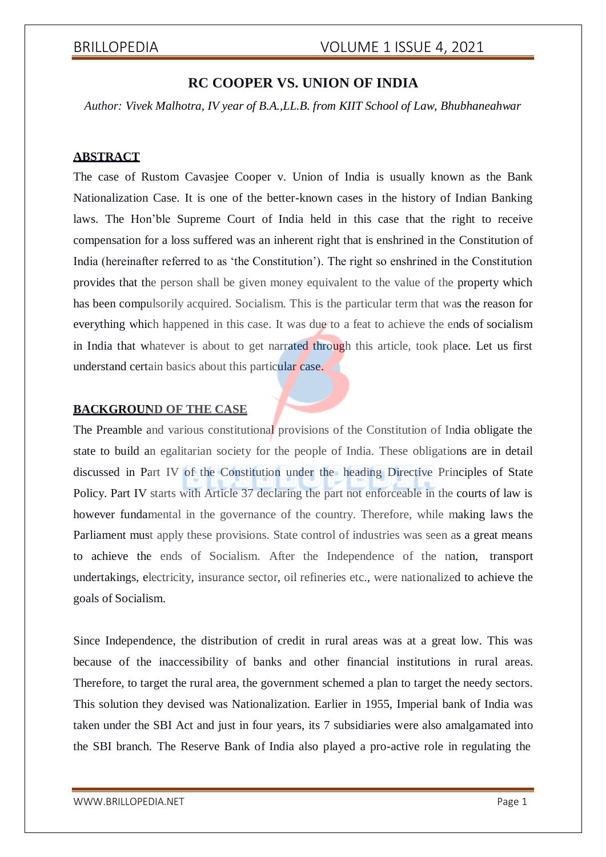### **RC COOPER VS. UNION OF INDIA**

*Author: Vivek Malhotra, IV year of B.A.,LL.B. from KIIT School of Law, Bhubhaneahwar*

### **ABSTRACT**

The case of Rustom Cavasjee Cooper v. Union of India is usually known as the Bank Nationalization Case. It is one of the better-known cases in the history of Indian Banking laws. The Hon'ble Supreme Court of India held in this case that the right to receive compensation for a loss suffered was an inherent right that is enshrined in the Constitution of India (hereinafter referred to as 'the Constitution'). The right so enshrined in the Constitution provides that the person shall be given money equivalent to the value of the property which has been compulsorily acquired. Socialism. This is the particular term that was the reason for everything which happened in this case. It was due to a feat to achieve the ends of socialism in India that whatever is about to get narrated through this article, took place. Let us first understand certain basics about this particular case.

### **BACKGROUND OF THE CASE**

The Preamble and various constitutional provisions of the Constitution of India obligate the state to build an egalitarian society for the people of India. These obligations are in detail discussed in Part IV of the Constitution under the heading Directive Principles of State Policy. Part IV starts with Article 37 declaring the part not enforceable in the courts of law is however fundamental in the governance of the country. Therefore, while making laws the Parliament must apply these provisions. State control of industries was seen as a great means to achieve the ends of Socialism. After the Independence of the nation, transport undertakings, electricity, insurance sector, oil refineries etc., were nationalized to achieve the goals of Socialism.

Since Independence, the distribution of credit in rural areas was at a great low. This was because of the inaccessibility of banks and other financial institutions in rural areas. Therefore, to target the rural area, the government schemed a plan to target the needy sectors. This solution they devised was Nationalization. Earlier in 1955, Imperial bank of India was taken under the SBI Act and just in four years, its 7 subsidiaries were also amalgamated into the SBI branch. The Reserve Bank of India also played a pro-active role in regulating the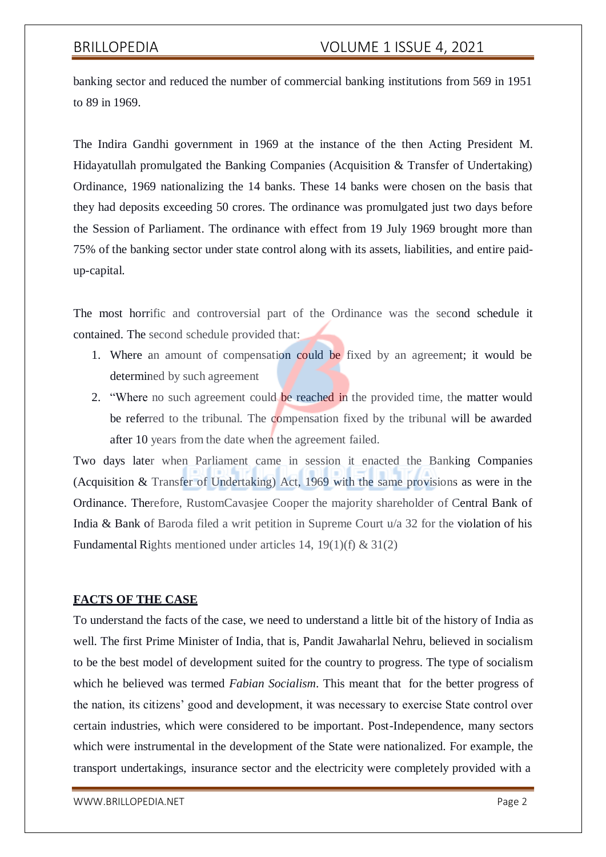banking sector and reduced the number of commercial banking institutions from 569 in 1951 to 89 in 1969.

The Indira Gandhi government in 1969 at the instance of the then Acting President M. Hidayatullah promulgated the Banking Companies (Acquisition & Transfer of Undertaking) Ordinance, 1969 nationalizing the 14 banks. These 14 banks were chosen on the basis that they had deposits exceeding 50 crores. The ordinance was promulgated just two days before the Session of Parliament. The ordinance with effect from 19 July 1969 brought more than 75% of the banking sector under state control along with its assets, liabilities, and entire paidup-capital.

The most horrific and controversial part of the Ordinance was the second schedule it contained. The second schedule provided that:

- 1. Where an amount of compensation could be fixed by an agreement; it would be determined by such agreement
- 2. "Where no such agreement could be reached in the provided time, the matter would be referred to the tribunal. The compensation fixed by the tribunal will be awarded after 10 years from the date when the agreement failed.

Two days later when Parliament came in session it enacted the Banking Companies (Acquisition & Transfer of Undertaking) Act, 1969 with the same provisions as were in the Ordinance. Therefore, RustomCavasjee Cooper the majority shareholder of Central Bank of India & Bank of Baroda filed a writ petition in Supreme Court u/a 32 for the violation of his Fundamental Rights mentioned under articles 14, 19(1)(f) & 31(2)

### **FACTS OF THE CASE**

To understand the facts of the case, we need to understand a little bit of the history of India as well. The first Prime Minister of India, that is, Pandit Jawaharlal Nehru, believed in socialism to be the best model of development suited for the country to progress. The type of socialism which he believed was termed *Fabian Socialism*. This meant that for the better progress of the nation, its citizens' good and development, it was necessary to exercise State control over certain industries, which were considered to be important. Post-Independence, many sectors which were instrumental in the development of the State were nationalized. For example, the transport undertakings, insurance sector and the electricity were completely provided with a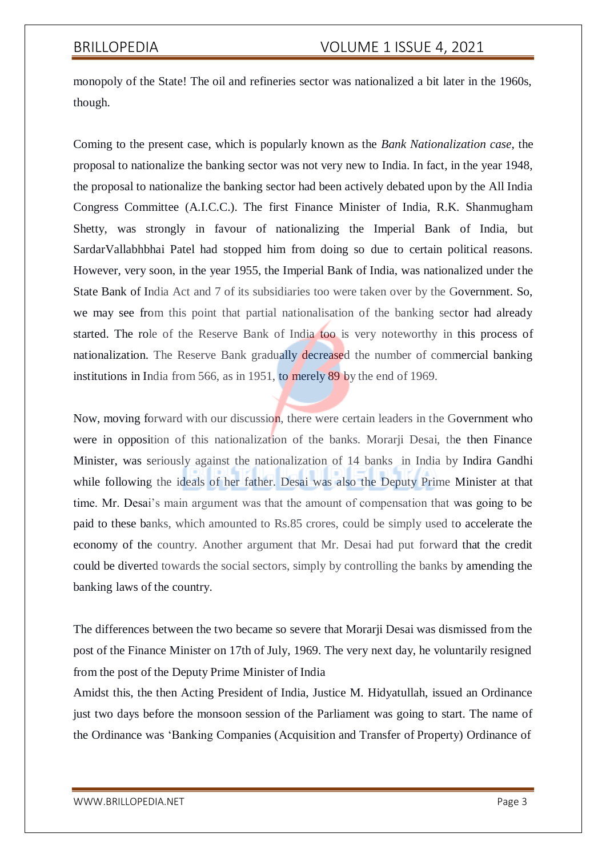monopoly of the State! The oil and refineries sector was nationalized a bit later in the 1960s, though.

Coming to the present case, which is popularly known as the *Bank Nationalization case*, the proposal to nationalize the banking sector was not very new to India. In fact, in the year 1948, the proposal to nationalize the banking sector had been actively debated upon by the All India Congress Committee (A.I.C.C.). The first Finance Minister of India, R.K. Shanmugham Shetty, was strongly in favour of nationalizing the Imperial Bank of India, but SardarVallabhbhai Patel had stopped him from doing so due to certain political reasons. However, very soon, in the year 1955, the Imperial Bank of India, was nationalized under the State Bank of India Act and 7 of its subsidiaries too were taken over by the Government. So, we may see from this point that partial nationalisation of the banking sector had already started. The role of the Reserve Bank of India too is very noteworthy in this process of nationalization. The Reserve Bank gradually decreased the number of commercial banking institutions in India from 566, as in 1951, to merely 89 by the end of 1969.

Now, moving forward with our discussion, there were certain leaders in the Government who were in opposition of this nationalization of the banks. Morarji Desai, the then Finance Minister, was seriously against the nationalization of 14 banks in India by Indira Gandhi while following the ideals of her father. Desai was also the Deputy Prime Minister at that time. Mr. Desai's main argument was that the amount of compensation that was going to be paid to these banks, which amounted to Rs.85 crores, could be simply used to accelerate the economy of the country. Another argument that Mr. Desai had put forward that the credit could be diverted towards the social sectors, simply by controlling the banks by amending the banking laws of the country.

The differences between the two became so severe that Morarji Desai was dismissed from the post of the Finance Minister on 17th of July, 1969. The very next day, he voluntarily resigned from the post of the Deputy Prime Minister of India

Amidst this, the then Acting President of India, Justice M. Hidyatullah, issued an Ordinance just two days before the monsoon session of the Parliament was going to start. The name of the Ordinance was 'Banking Companies (Acquisition and Transfer of Property) Ordinance of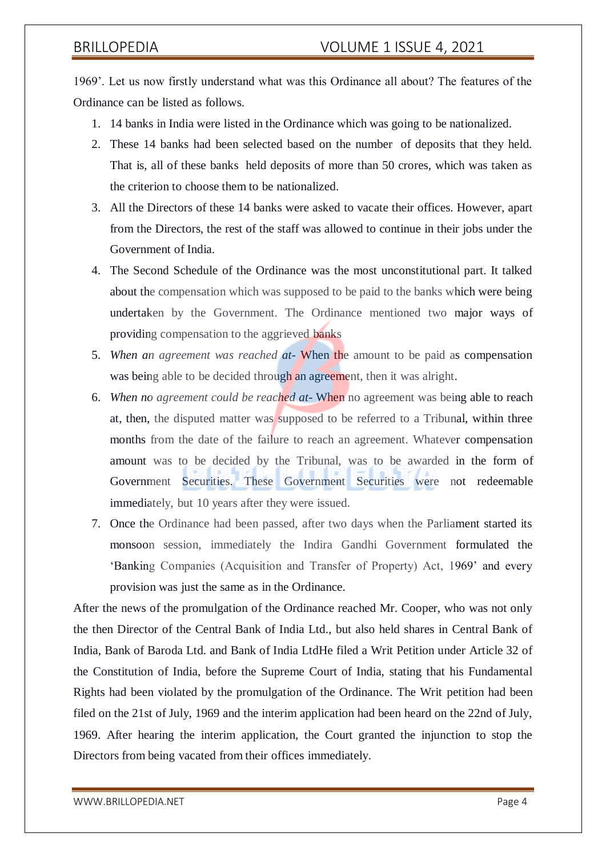1969'. Let us now firstly understand what was this Ordinance all about? The features of the Ordinance can be listed as follows.

- 1. 14 banks in India were listed in the Ordinance which was going to be nationalized.
- 2. These 14 banks had been selected based on the number of deposits that they held. That is, all of these banks held deposits of more than 50 crores, which was taken as the criterion to choose them to be nationalized.
- 3. All the Directors of these 14 banks were asked to vacate their offices. However, apart from the Directors, the rest of the staff was allowed to continue in their jobs under the Government of India.
- 4. The Second Schedule of the Ordinance was the most unconstitutional part. It talked about the compensation which was supposed to be paid to the banks which were being undertaken by the Government. The Ordinance mentioned two major ways of providing compensation to the aggrieved banks
- 5. *When an agreement was reached at-* When the amount to be paid as compensation was being able to be decided through an agreement, then it was alright.
- 6. *When no agreement could be reached at-* When no agreement was being able to reach at, then, the disputed matter was supposed to be referred to a Tribunal, within three months from the date of the failure to reach an agreement. Whatever compensation amount was to be decided by the Tribunal, was to be awarded in the form of Government Securities. These Government Securities were not redeemable immediately, but 10 years after they were issued.
- 7. Once the Ordinance had been passed, after two days when the Parliament started its monsoon session, immediately the Indira Gandhi Government formulated the 'Banking Companies (Acquisition and Transfer of Property) Act, 1969' and every provision was just the same as in the Ordinance.

After the news of the promulgation of the Ordinance reached Mr. Cooper, who was not only the then Director of the Central Bank of India Ltd., but also held shares in Central Bank of India, Bank of Baroda Ltd. and Bank of India LtdHe filed a Writ Petition under Article 32 of the Constitution of India, before the Supreme Court of India, stating that his Fundamental Rights had been violated by the promulgation of the Ordinance. The Writ petition had been filed on the 21st of July, 1969 and the interim application had been heard on the 22nd of July, 1969. After hearing the interim application, the Court granted the injunction to stop the Directors from being vacated from their offices immediately.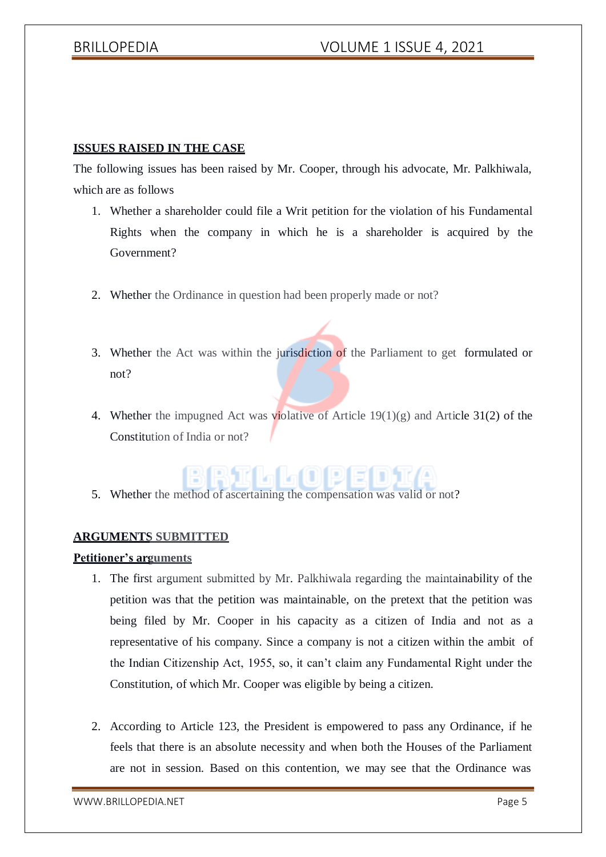### **ISSUES RAISED IN THE CASE**

The following issues has been raised by Mr. Cooper, through his advocate, Mr. Palkhiwala, which are as follows

- 1. Whether a shareholder could file a Writ petition for the violation of his Fundamental Rights when the company in which he is a shareholder is acquired by the Government?
- 2. Whether the Ordinance in question had been properly made or not?
- 3. Whether the Act was within the jurisdiction of the Parliament to get formulated or not?
- 4. Whether the impugned Act was violative of Article 19(1)(g) and Article 31(2) of the Constitution of India or not?



5. Whether the method of ascertaining the compensation was valid or not?

### **ARGUMENTS SUBMITTED**

### **Petitioner's arguments**

- 1. The first argument submitted by Mr. Palkhiwala regarding the maintainability of the petition was that the petition was maintainable, on the pretext that the petition was being filed by Mr. Cooper in his capacity as a citizen of India and not as a representative of his company. Since a company is not a citizen within the ambit of the Indian Citizenship Act, 1955, so, it can't claim any Fundamental Right under the Constitution, of which Mr. Cooper was eligible by being a citizen.
- 2. According to Article 123, the President is empowered to pass any Ordinance, if he feels that there is an absolute necessity and when both the Houses of the Parliament are not in session. Based on this contention, we may see that the Ordinance was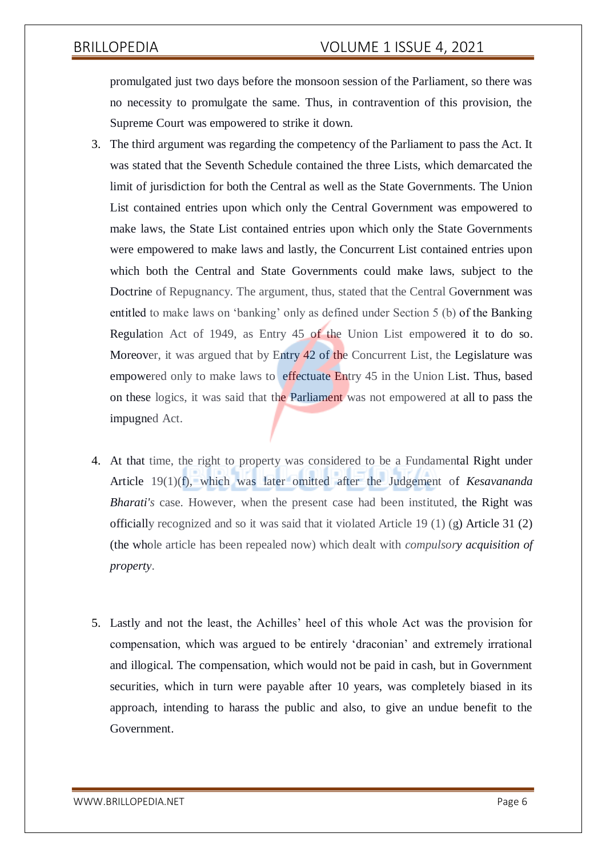promulgated just two days before the monsoon session of the Parliament, so there was no necessity to promulgate the same. Thus, in contravention of this provision, the Supreme Court was empowered to strike it down.

- 3. The third argument was regarding the competency of the Parliament to pass the Act. It was stated that the Seventh Schedule contained the three Lists, which demarcated the limit of jurisdiction for both the Central as well as the State Governments. The Union List contained entries upon which only the Central Government was empowered to make laws, the State List contained entries upon which only the State Governments were empowered to make laws and lastly, the Concurrent List contained entries upon which both the Central and State Governments could make laws, subject to the Doctrine of Repugnancy. The argument, thus, stated that the Central Government was entitled to make laws on 'banking' only as defined under Section 5 (b) of the Banking Regulation Act of 1949, as Entry 45 of the Union List empowered it to do so. Moreover, it was argued that by Entry 42 of the Concurrent List, the Legislature was empowered only to make laws to effectuate Entry 45 in the Union List. Thus, based on these logics, it was said that the Parliament was not empowered at all to pass the impugned Act.
- 4. At that time, the right to property was considered to be a Fundamental Right under Article 19(1)(f), which was later omitted after the Judgement of *Kesavananda Bharati's* case. However, when the present case had been instituted, the Right was officially recognized and so it was said that it violated Article 19  $(1)$  (g) Article 31  $(2)$ (the whole article has been repealed now) which dealt with *compulsory acquisition of property*.
- 5. Lastly and not the least, the Achilles' heel of this whole Act was the provision for compensation, which was argued to be entirely 'draconian' and extremely irrational and illogical. The compensation, which would not be paid in cash, but in Government securities, which in turn were payable after 10 years, was completely biased in its approach, intending to harass the public and also, to give an undue benefit to the Government.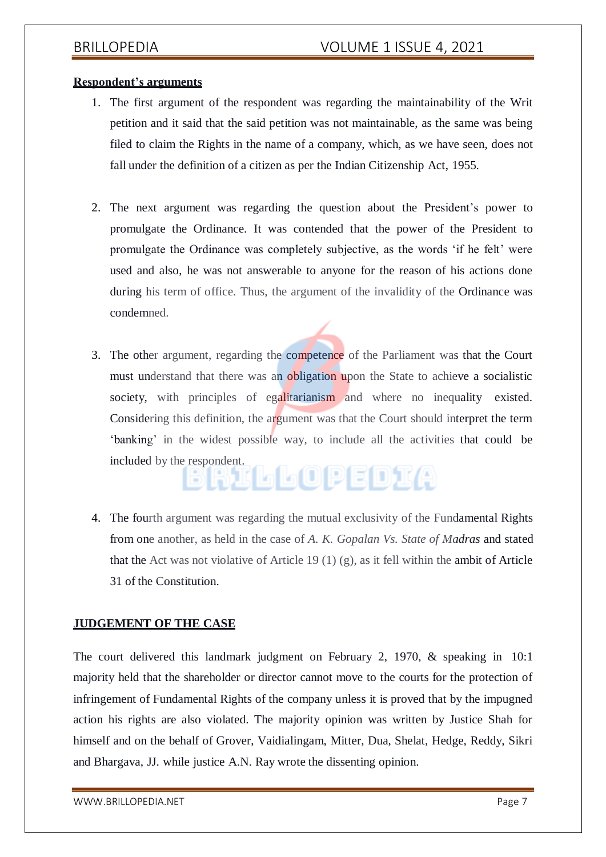### **Respondent's arguments**

- 1. The first argument of the respondent was regarding the maintainability of the Writ petition and it said that the said petition was not maintainable, as the same was being filed to claim the Rights in the name of a company, which, as we have seen, does not fall under the definition of a citizen as per the Indian Citizenship Act, 1955.
- 2. The next argument was regarding the question about the President's power to promulgate the Ordinance. It was contended that the power of the President to promulgate the Ordinance was completely subjective, as the words 'if he felt' were used and also, he was not answerable to anyone for the reason of his actions done during his term of office. Thus, the argument of the invalidity of the Ordinance was condemned.
- 3. The other argument, regarding the competence of the Parliament was that the Court must understand that there was an obligation upon the State to achieve a socialistic society, with principles of egalitarianism and where no inequality existed. Considering this definition, the argument was that the Court should interpret the term 'banking' in the widest possible way, to include all the activities that could be included by the respondent.
- 4. The fourth argument was regarding the mutual exclusivity of the Fundamental Rights from one another, as held in the case of *A. K. Gopalan Vs. State of Madras* and stated that the Act was not violative of Article 19 (1) (g), as it fell within the ambit of Article 31 of the Constitution.

### **JUDGEMENT OF THE CASE**

The court delivered this landmark judgment on February 2, 1970, & speaking in 10:1 majority held that the shareholder or director cannot move to the courts for the protection of infringement of Fundamental Rights of the company unless it is proved that by the impugned action his rights are also violated. The majority opinion was written by Justice Shah for himself and on the behalf of Grover, Vaidialingam, Mitter, Dua, Shelat, Hedge, Reddy, Sikri and Bhargava, JJ. while justice A.N. Ray wrote the dissenting opinion.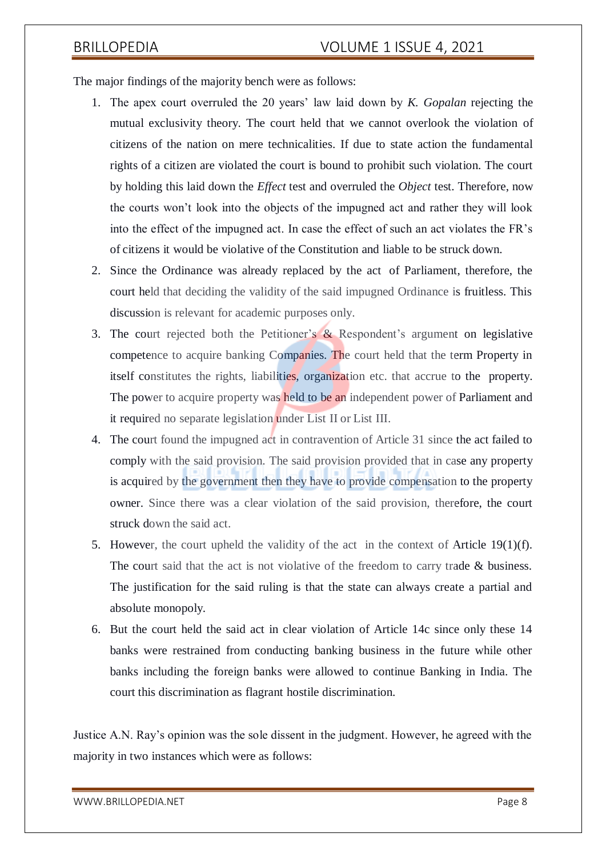The major findings of the majority bench were as follows:

- 1. The apex court overruled the 20 years' law laid down by *K. Gopalan* rejecting the mutual exclusivity theory. The court held that we cannot overlook the violation of citizens of the nation on mere technicalities. If due to state action the fundamental rights of a citizen are violated the court is bound to prohibit such violation. The court by holding this laid down the *Effect* test and overruled the *Object* test. Therefore, now the courts won't look into the objects of the impugned act and rather they will look into the effect of the impugned act. In case the effect of such an act violates the FR's of citizens it would be violative of the Constitution and liable to be struck down.
- 2. Since the Ordinance was already replaced by the act of Parliament, therefore, the court held that deciding the validity of the said impugned Ordinance is fruitless. This discussion is relevant for academic purposes only.
- 3. The court rejected both the Petitioner's & Respondent's argument on legislative competence to acquire banking Companies. The court held that the term Property in itself constitutes the rights, liabilities, organization etc. that accrue to the property. The power to acquire property was held to be an independent power of Parliament and it required no separate legislation under List II or List III.
- 4. The court found the impugned act in contravention of Article 31 since the act failed to comply with the said provision. The said provision provided that in case any property is acquired by the government then they have to provide compensation to the property owner. Since there was a clear violation of the said provision, therefore, the court struck down the said act.
- 5. However, the court upheld the validity of the act in the context of Article 19(1)(f). The court said that the act is not violative of the freedom to carry trade  $\&$  business. The justification for the said ruling is that the state can always create a partial and absolute monopoly.
- 6. But the court held the said act in clear violation of Article 14c since only these 14 banks were restrained from conducting banking business in the future while other banks including the foreign banks were allowed to continue Banking in India. The court this discrimination as flagrant hostile discrimination.

Justice A.N. Ray's opinion was the sole dissent in the judgment. However, he agreed with the majority in two instances which were as follows:

[WWW.BRILLOPEDIA.NET](http://www.brillopedia.net/)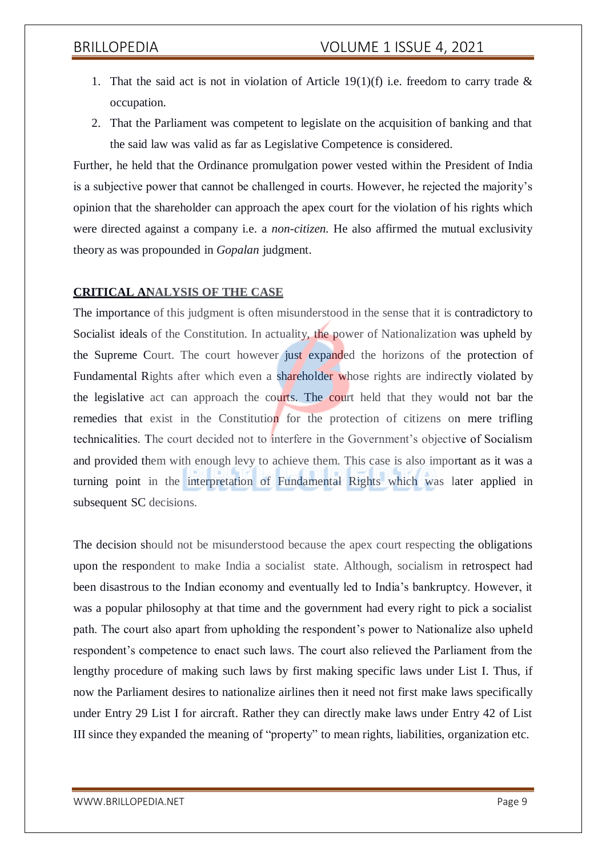- 1. That the said act is not in violation of Article 19(1)(f) i.e. freedom to carry trade  $\&$ occupation.
- 2. That the Parliament was competent to legislate on the acquisition of banking and that the said law was valid as far as Legislative Competence is considered.

Further, he held that the Ordinance promulgation power vested within the President of India is a subjective power that cannot be challenged in courts. However, he rejected the majority's opinion that the shareholder can approach the apex court for the violation of his rights which were directed against a company i.e. a *non-citizen.* He also affirmed the mutual exclusivity theory as was propounded in *Gopalan* judgment.

### **CRITICAL ANALYSIS OF THE CASE**

The importance of this judgment is often misunderstood in the sense that it is contradictory to Socialist ideals of the Constitution. In actuality, the power of Nationalization was upheld by the Supreme Court. The court however just expanded the horizons of the protection of Fundamental Rights after which even a shareholder whose rights are indirectly violated by the legislative act can approach the courts. The court held that they would not bar the remedies that exist in the Constitution for the protection of citizens on mere trifling technicalities. The court decided not to interfere in the Government's objective of Socialism and provided them with enough levy to achieve them. This case is also important as it was a turning point in the interpretation of Fundamental Rights which was later applied in subsequent SC decisions.

The decision should not be misunderstood because the apex court respecting the obligations upon the respondent to make India a socialist state. Although, socialism in retrospect had been disastrous to the Indian economy and eventually led to India's bankruptcy. However, it was a popular philosophy at that time and the government had every right to pick a socialist path. The court also apart from upholding the respondent's power to Nationalize also upheld respondent's competence to enact such laws. The court also relieved the Parliament from the lengthy procedure of making such laws by first making specific laws under List I. Thus, if now the Parliament desires to nationalize airlines then it need not first make laws specifically under Entry 29 List I for aircraft. Rather they can directly make laws under Entry 42 of List III since they expanded the meaning of "property" to mean rights, liabilities, organization etc.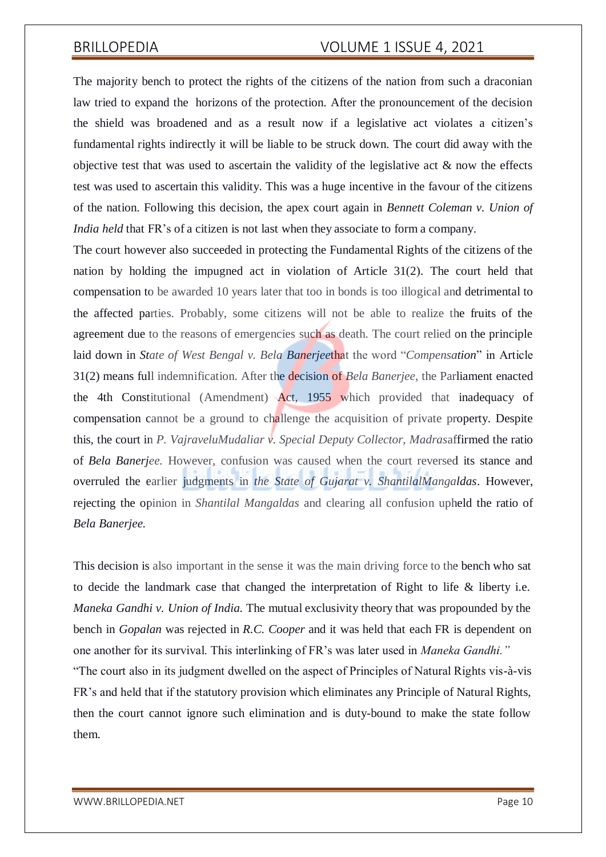The majority bench to protect the rights of the citizens of the nation from such a draconian law tried to expand the horizons of the protection. After the pronouncement of the decision the shield was broadened and as a result now if a legislative act violates a citizen's fundamental rights indirectly it will be liable to be struck down. The court did away with the objective test that was used to ascertain the validity of the legislative act  $\&$  now the effects test was used to ascertain this validity. This was a huge incentive in the favour of the citizens of the nation. Following this decision, the apex court again in *Bennett Coleman v. Union of India held* that FR's of a citizen is not last when they associate to form a company.

The court however also succeeded in protecting the Fundamental Rights of the citizens of the nation by holding the impugned act in violation of Article 31(2). The court held that compensation to be awarded 10 years later that too in bonds is too illogical and detrimental to the affected parties. Probably, some citizens will not be able to realize the fruits of the agreement due to the reasons of emergencies such as death. The court relied on the principle laid down in *State of West Bengal v. Bela Banerjee*that the word "*Compensation*" in Article 31(2) means full indemnification. After the decision of *Bela Banerjee,* the Parliament enacted the 4th Constitutional (Amendment) Act, 1955 which provided that inadequacy of compensation cannot be a ground to challenge the acquisition of private property. Despite this, the court in *P. VajraveluMudaliar v. Special Deputy Collector, Madras*affirmed the ratio of *Bela Banerjee.* However, confusion was caused when the court reversed its stance and overruled the earlier judgments in *the State of Gujarat v. ShantilalMangaldas*. However, rejecting the opinion in *Shantilal Mangaldas* and clearing all confusion upheld the ratio of *Bela Banerjee.*

This decision is also important in the sense it was the main driving force to the bench who sat to decide the landmark case that changed the interpretation of Right to life & liberty i.e. *Maneka Gandhi v. Union of India.* The mutual exclusivity theory that was propounded by the bench in *Gopalan* was rejected in *R.C. Cooper* and it was held that each FR is dependent on one another for its survival. This interlinking of FR's was later used in *Maneka Gandhi."* "The court also in its judgment dwelled on the aspect of Principles of Natural Rights vis-à-vis FR's and held that if the statutory provision which eliminates any Principle of Natural Rights, then the court cannot ignore such elimination and is duty-bound to make the state follow them.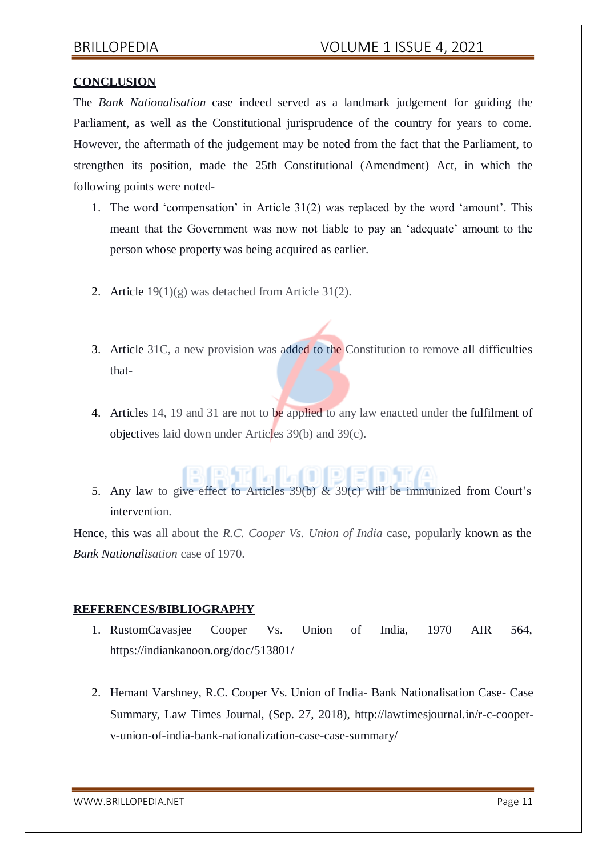### **CONCLUSION**

The *Bank Nationalisation* case indeed served as a landmark judgement for guiding the Parliament, as well as the Constitutional jurisprudence of the country for years to come. However, the aftermath of the judgement may be noted from the fact that the Parliament, to strengthen its position, made the 25th Constitutional (Amendment) Act, in which the following points were noted-

- 1. The word 'compensation' in Article 31(2) was replaced by the word 'amount'. This meant that the Government was now not liable to pay an 'adequate' amount to the person whose property was being acquired as earlier.
- 2. Article 19(1)(g) was detached from Article 31(2).
- 3. Article 31C, a new provision was added to the Constitution to remove all difficulties that-
- 4. Articles 14, 19 and 31 are not to be applied to any law enacted under the fulfilment of objectives laid down under Articles 39(b) and 39(c).

# BBTLLATDF1

5. Any law to give effect to Articles 39(b) & 39(c) will be immunized from Court's intervention.

Hence, this was all about the *R.C. Cooper Vs. Union of India* case, popularly known as the *Bank Nationalisation* case of 1970.

### **REFERENCES/BIBLIOGRAPHY**

- 1. RustomCavasjee Cooper Vs. Union of India, 1970 AIR 564, https://indiankanoon.org/doc/513801/
- 2. Hemant Varshney, R.C. Cooper Vs. Union of India- Bank Nationalisation Case- Case Summary, Law Times Journal, (Sep. 27, 2018), [http://lawtimesjournal.in/r-c-cooper](http://lawtimesjournal.in/r-c-cooper-)v-union-of-india-bank-nationalization-case-case-summary/